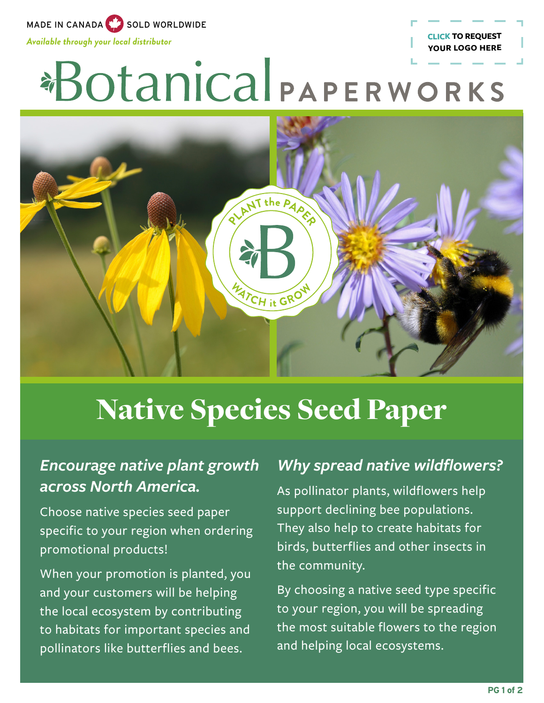MADE IN CANADA SOLD WORLDWIDE

*Available through your local distributor*

# \*Botanical PAPERWORKS



### Native Species Seed Paper

#### *Encourage native plant growth across North America.*

Choose native species seed paper specific to your region when ordering promotional products!

When your promotion is planted, you and your customers will be helping the local ecosystem by contributing to habitats for important species and pollinators like butterflies and bees.

#### *Why spread native wildflowers?*

**[CLICK TO REQUEST](mailto:promo%40botanicalpaperworks.com?subject=Add%20my%20Logo%20to%20Native%20Seeds%20Flyer)  YOUR LOGO HERE**

As pollinator plants, wildflowers help support declining bee populations. They also help to create habitats for birds, butterflies and other insects in the community.

By choosing a native seed type specific to your region, you will be spreading the most suitable flowers to the region and helping local ecosystems.